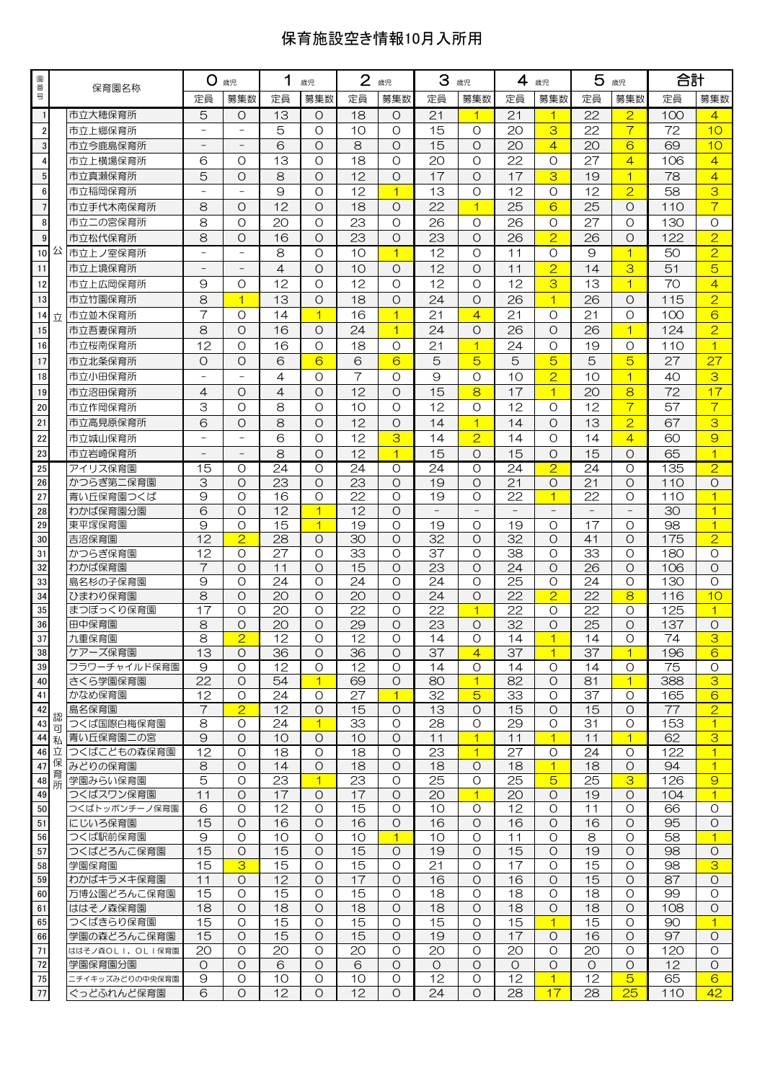## 保育施設空き情報10月入所用

| 園番               |        | 保育園名称                          | <b>O 歳児</b>              |                     | 1<br>歳児         |                                  | $\overline{2}$<br>歳児  |                      | 3<br>歳児         |                     | 4<br>歳児         |                         | 5<br>歳児         |                    | 合計                     |                                  |
|------------------|--------|--------------------------------|--------------------------|---------------------|-----------------|----------------------------------|-----------------------|----------------------|-----------------|---------------------|-----------------|-------------------------|-----------------|--------------------|------------------------|----------------------------------|
| 믁                |        |                                | 定員                       | 募集数                 | 定員              | 募集数                              | 定員                    | 募集数                  | 定員              | 募集数                 | 定員              | 募集数                     | 定員              | 募集数                | 定員                     | 募集数                              |
| $\vert$          |        | 市立大穂保育所                        | 5                        | $\circ$             | 13              | $\circ$                          | 18                    | $\Omega$             | 21              | $\overline{1}$      | 21              | $\mathbf{1}$            | 22              | $\overline{2}$     | 100                    | $\overline{4}$                   |
| $\boldsymbol{2}$ |        | 市立上郷保育所                        |                          |                     | 5               | $\circ$                          | 10                    | $\Omega$             | 15              | $\Omega$            | 20              | 3                       | 22              | $\overline{7}$     | 72                     | 10                               |
| $\mathsf 3$      |        | 市立今鹿島保育所                       | $\overline{\phantom{a}}$ |                     | 6               | O                                | 8                     | $\Omega$             | 15              | $\Omega$            | 20              | $\overline{4}$          | 20              | $6\overline{6}$    | 69                     | 10                               |
| $\overline{4}$   |        | 市立上横場保育所                       | 6                        | O                   | 13              | O                                | 18                    | $\Omega$             | 20              | $\Omega$            | 22              | $\circ$                 | 27              | $\overline{4}$     | 106                    | $\overline{4}$                   |
| $\sqrt{5}$       |        | 市立真瀬保育所                        | 5                        | $\circ$             | 8               | $\Omega$                         | 12                    | $\Omega$             | 17              | $\Omega$            | 17              | 3                       | 19              | $\overline{1}$     | 78                     | $\overline{4}$                   |
| $\bf 6$          |        | 市立稲岡保育所                        |                          |                     | 9               | O                                | 12                    | $\mathbf{1}$         | 13              | O                   | 12              | O                       | 12              | $\overline{2}$     | 58                     | 3                                |
| $\overline{7}$   |        | 市立手代木南保育所                      | 8                        | $\circ$             | 12              | $\circ$                          | 18                    | $\Omega$             | 22              | $\overline{1}$      | 25              | 6                       | 25              | $\circ$            | 110                    | $\overline{7}$                   |
| 8                |        | 市立二の宮保育所                       | 8                        | $\circ$             | 20              | $\circ$                          | 23                    | $\Omega$             | 26              | $\circ$             | 26              | O                       | 27              | $\circ$            | 130                    | $\circ$                          |
| $\overline{9}$   |        | 市立松代保育所                        | 8                        | $\circ$             | 16              | $\circ$                          | 23                    | $\Omega$             | 23              | $\Omega$            | 26              | $\overline{2}$          | 26              | $\circ$            | 122                    | $\overline{2}$                   |
| 10公              |        | 市立上ノ室保育所                       | $\qquad \qquad -$        |                     | 8               | $\Omega$                         | 10                    | $\overline{1}$       | 12              | $\Omega$            | 11              | $\circ$                 | 9               | $\overline{1}$     | 50                     | $\overline{2}$                   |
| 11               |        | 市立上境保育所                        |                          |                     | 4               | $\circ$                          | 10                    | $\Omega$             | 12              | $\Omega$            | 11              | $\overline{2}$          | 14              | 3                  | 51                     | 5                                |
| 12               |        | 市立上広岡保育所                       | 9                        | $\circ$             | 12              | O                                | 12                    | $\Omega$             | 12              | $\Omega$            | 12              | 3                       | 13              | $\overline{1}$     | 70                     | $\overline{4}$                   |
| 13               |        | 市立竹園保育所                        | 8                        | $\overline{1}$      | 13              | O                                | 18                    | $\Omega$             | 24              | $\Omega$            | 26              | $\overline{1}$          | 26              | $\circ$            | 115                    | $\overline{2}$                   |
| 14               | 立      | 市立並木保育所                        | $\overline{7}$           | O                   | 14              | $\overline{\mathbf{1}}$          | 16                    | $\overline{1}$       | 21              | $\overline{4}$      | 21              | $\circ$                 | 21              | O                  | 100                    | 6                                |
| 15               |        | 市立吾妻保育所                        | 8                        | $\circ$             | 16              | $\circ$                          | 24                    | $\overline{1}$       | 24              | $\Omega$            | 26              | $\Omega$                | 26              | $\overline{1}$     | 124                    | $\overline{2}$                   |
| 16               |        | 市立桜南保育所                        | 12                       | O                   | 16              | $\circ$                          | 18                    | $\Omega$             | 21              | $\overline{1}$      | 24              | O                       | 19              | $\circ$            | 110                    | $\overline{1}$                   |
| 17               |        | 市立北条保育所                        | $\overline{O}$           | $\circ$             | 6               | 6                                | 6                     | 6                    | 5               | 5                   | 5               | 5                       | 5               | 5                  | 27                     | 27                               |
| 18               |        | 市立小田保育所                        |                          |                     | 4               | $\Omega$                         | $\overline{7}$        | $\Omega$             | 9               | $\Omega$            | 10              | $\overline{2}$          | 10              | $\overline{1}$     | 40                     | 3                                |
| 19               |        | 市立沼田保育所                        | $\overline{4}$           | $\circ$             | 4               | $\circ$                          | 12                    | $\Omega$             | 15              | 8                   | 17              | $\overline{1}$          | 20              | 8                  | 72                     | 17                               |
| 20               |        | 市立作岡保育所                        | 3                        | $\circ$             | 8               | $\circ$                          | 10                    | $\Omega$             | 12              | $\circ$             | 12              | $\Omega$                | 12              | $\overline{7}$     | 57                     | $\overline{7}$                   |
| 21               |        | 市立高見原保育所                       | 6                        | $\circ$             | 8               | $\circ$                          | 12                    | $\Omega$             | 14              | $\overline{1}$      | 14              | $\Omega$                | 13              | $\overline{2}$     | 67                     | 3                                |
| 22               |        | 市立城山保育所                        |                          |                     | 6               | $\circ$                          | 12                    | 3                    | 14              | $\overline{2}$      | 14              | $\Omega$                | 14              | $\overline{4}$     | 60                     | $\overline{9}$                   |
| 23               |        | 市立岩崎保育所                        |                          |                     | 8               | $\circ$                          | 12                    | $\overline{1}$       | 15              | $\Omega$            | 15              | $\Omega$                | 15              | $\circ$            | 65                     | $\overline{1}$                   |
| 25               |        | アイリス保育園                        | 15                       | O                   | 24              | O                                | 24                    | $\circ$              | 24              | $\circ$             | 24              | $\overline{2}$          | 24              | O                  | 135                    | $\overline{2}$                   |
| 26               |        | かつらぎ第二保育園                      | 3                        | $\circ$             | 23              | O                                | 23                    | $\Omega$             | 19              | $\Omega$            | 21              | O                       | 21              | O                  | 110                    | $\circ$                          |
| 27<br>28         |        | 青い丘保育園つくば<br>わかば保育園分園          | 9<br>6                   | $\circ$<br>$\Omega$ | 16<br>12        | $\overline{O}$<br>$\overline{1}$ | 22<br>12              | $\Omega$<br>$\Omega$ | 19              | $\circ$             | 22              | $\overline{1}$          | 22              | O                  | 110<br>30              | $\overline{1}$<br>$\overline{1}$ |
| 29               |        | 東平塚保育園                         | 9                        | O                   | 15              | 1                                | 19                    | $\Omega$             | 19              | O                   | 19              | O                       | 17              | O                  | 98                     | $\overline{1}$                   |
| 30               |        | 吉沼保育園                          | 12                       | $\overline{2}$      | $\overline{28}$ | O                                | 30                    | $\Omega$             | $\overline{32}$ | $\Omega$            | $\overline{32}$ | $\Omega$                | 41              | $\circ$            | 175                    | $\overline{2}$                   |
| 31               |        | かつらぎ保育園                        | 12                       | $\circ$             | 27              | $\circ$                          | 33                    | $\Omega$             | 37              | $\Omega$            | 38              | $\circ$                 | 33              | $\circ$            | 180                    | $\circ$                          |
| 32               |        | わかば保育園                         | $\overline{7}$           | $\circ$             | 11              | $\circ$                          | 15                    | $\Omega$             | 23              | $\Omega$            | 24              | $\circ$                 | $\overline{26}$ | $\circ$            | 106                    | $\circ$                          |
| 33               |        | 島名杉の子保育園                       | 9                        | $\circ$             | 24              | O                                | 24                    | $\Omega$             | 24              | $\Omega$            | 25              | $\circ$                 | 24              | $\circ$            | 130                    | $\circ$                          |
| 34               |        | ひまわり保育園                        | 8                        | $\circ$             | 20              | $\circ$                          | 20                    | $\Omega$             | 24              | O                   | 22              | $\overline{2}$          | 22              | 8                  | 116                    | 10                               |
| 35               |        | まつぼっくり保育園                      | 17                       | $\circ$             | 20              | O                                | 22                    | $\circ$              | 22              | $\overline{1}$      | 22              | O                       | 22              | O                  | 125                    | $\overline{1}$                   |
| 36               |        | 田中保育園                          | 8                        | $\circ$             | 20              | $\circ$                          | 29                    | $\Omega$             | 23              | $\circ$             | $\overline{32}$ | $\Omega$                | $\overline{25}$ | $\circ$            | 137                    | $\circ$                          |
| 37<br>38         |        | 九重保育園                          | 8                        | $\overline{P}$      | 12              | $\Omega$                         | 12                    | $\Omega$             | 14              | $\Omega$            | 14              | $\overline{\mathbf{1}}$ | 14              | $\Omega$           | 74                     | 3                                |
| 39               |        | ケアーズ保育園<br>フラワーチャイルド保育園        | 13<br>9                  | O<br>$\Omega$       | 36<br>12        | O<br>$\circ$                     | 36<br>$\overline{12}$ | O<br>$\circ$         | 37<br>14        | 4<br>$\circ$        | 37<br>14        | $\mathbf{1}$<br>O       | 37<br>14        | 1.<br>$\circ$      | 196<br>$\overline{75}$ | 6<br>$\circ$                     |
| 40               |        | さくら学園保育園                       | 22                       | $\circ$             | 54              | $\vert$ 1                        | 69                    | $\circ$              | 80              | $\overline{1}$      | 82              | $\circ$                 | 81              | $\overline{1}$     | 388                    | 3                                |
| 41               |        | かなめ保育園                         | 12                       | $\circ$             | 24              | O                                | 27                    | $\mathbf{1}$         | 32              | 5                   | 33              | O                       | 37              | $\circ$            | 165                    | 6                                |
| 42               |        | 島名保育園                          | 7                        | $\overline{2}$      | 12              | O                                | 15                    | O                    | 13              | $\circ$             | 15              | O                       | 15              | $\circ$            | 77                     | $\overline{2}$                   |
| 43               | 認<br>可 | つくば国際白梅保育園                     | 8                        | $\circ$             | 24              | $\overline{\mathbf{1}}$          | 33                    | $\circ$              | $\overline{28}$ | $\circ$             | $\overline{29}$ | $\circ$                 | $\overline{31}$ | $\circ$            | 153                    | $\overline{1}$                   |
| 44 私             |        | 青い丘保育園二の宮                      | 9                        | $\circ$             | 10              | O                                | 10                    | $\circ$              | 11              | $\overline{1}$      | 11              | $\overline{1}$          | 11              | $\overline{1}$     | 62                     | 3                                |
| 46 立             |        | つくばこどもの森保育園                    | 12                       | O                   | 18              | $\circ$                          | 18                    | O                    | 23              | $\overline{1}$      | 27              | O                       | 24              | $\circ$            | 122                    | $\mathbf{1}$                     |
| 47               | 保<br>育 | みどりの保育園                        | 8                        | $\circ$             | 14              | $\circ$                          | 18                    | $\circ$              | 18              | $\circ$             | 18              | $\overline{1}$          | 18              | $\circ$            | 94                     | $\overline{1}$                   |
| 48               | 所      | 学園みらい保育園                       | $\overline{5}$           | $\circ$             | $\overline{23}$ | $\overline{1}$                   | 23                    | O                    | 25              | $\circ$             | $\overline{25}$ | $5\overline{)}$         | 25              | 3                  | 126                    | $\Theta$                         |
| 49<br>50         |        | つくばスワン保育園<br>つくばトッポンチーノ保育園     | 11<br>6                  | O<br>O              | 17<br>12        | O<br>$\circ$                     | 17<br>15              | O<br>$\circ$         | 20<br>10        | $\overline{1}$<br>O | 20<br>12        | O<br>O                  | 19<br>11        | O<br>$\circ$       | 104<br>66              | $\mathbf{1}$<br>$\circ$          |
| 51               |        | にじいろ保育園                        | 15                       | $\circ$             | 16              | O                                | 16                    | $\circ$              | 16              | $\circ$             | 16              | $\circ$                 | 16              | $\circ$            | 95                     | $\circ$                          |
| 56               |        | つくば駅前保育園                       | 9                        | O                   | 10              | O                                | 10                    | $\mathbf{1}$         | 10              | O                   | 11              | O                       | 8               | $\circ$            | 58                     | $\mathbf{1}$                     |
| 57               |        | つくばどろんこ保育園                     | 15                       | $\circ$             | 15              | $\circ$                          | 15                    | $\circ$              | 19              | $\circ$             | 15              | $\circ$                 | 19              | $\circ$            | 98                     | $\circ$                          |
| 58               |        | 学園保育園                          | 15                       | 3                   | 15              | $\circ$                          | 15                    | $\circ$              | 21              | $\circ$             | 17              | $\circ$                 | 15              | $\circ$            | 98                     | 3                                |
| 59               |        | わかばキラメキ保育園                     | 11                       | $\circ$             | 12              | $\circ$                          | 17                    | $\circ$              | 16              | $\circ$             | 16              | $\circ$                 | 15              | $\circ$            | 87                     | $\circ$                          |
| 60               |        | 万博公園どろんこ保育園                    | 15                       | O                   | 15              | $\circ$                          | 15                    | $\circ$              | 18              | $\circ$             | 18              | O                       | 18              | O                  | 99                     | $\circ$                          |
| 61               |        | ははそノ森保育園                       | 18                       | $\circ$             | 18              | O                                | 18                    | $\circ$              | 18              | $\circ$             | 18              | $\circ$                 | 18              | O                  | 108                    | $\circ$                          |
| 65               |        | つくばきらり保育園                      | 15                       | $\circ$             | 15              | $\circ$                          | 15                    | O                    | 15              | $\circ$             | 15              | $\overline{1}$          | 15              | $\circ$            | 90                     | $\mathbf{1}$                     |
| 66<br>71         |        | 学園の森どろんこ保育園<br>ははそノ森OLI,OLI保育園 | 15<br>20                 | $\circ$<br>O        | 15<br>20        | $\circ$<br>$\circ$               | 15<br>20              | $\circ$<br>O         | 19<br>20        | $\circ$<br>$\circ$  | 17<br>20        | O<br>$\circ$            | 16<br>20        | $\circ$<br>$\circ$ | 97<br>120              | $\circ$<br>$\circ$               |
| 72               |        | 学園保育園分園                        | $\circ$                  | $\circ$             | 6               | O                                | 6                     | O                    | $\circ$         | $\circ$             | $\circ$         | O                       | $\circ$         | $\circ$            | 12                     | $\circ$                          |
| 75               |        | ニチイキッズみどりの中央保育園                | $\Theta$                 | O                   | 10              | $\circ$                          | 10                    | O                    | $\overline{12}$ | $\circ$             | 12              | $\mathbf{1}$            | $\overline{12}$ | 5                  | 65                     | 6                                |
| 77               |        | ぐっどふれんど保育園                     | 6                        | $\circ$             | 12              | $\circ$                          | 12                    | $\circ$              | 24              | $\circ$             | 28              | 17                      | 28              | 25                 | 110                    | 42                               |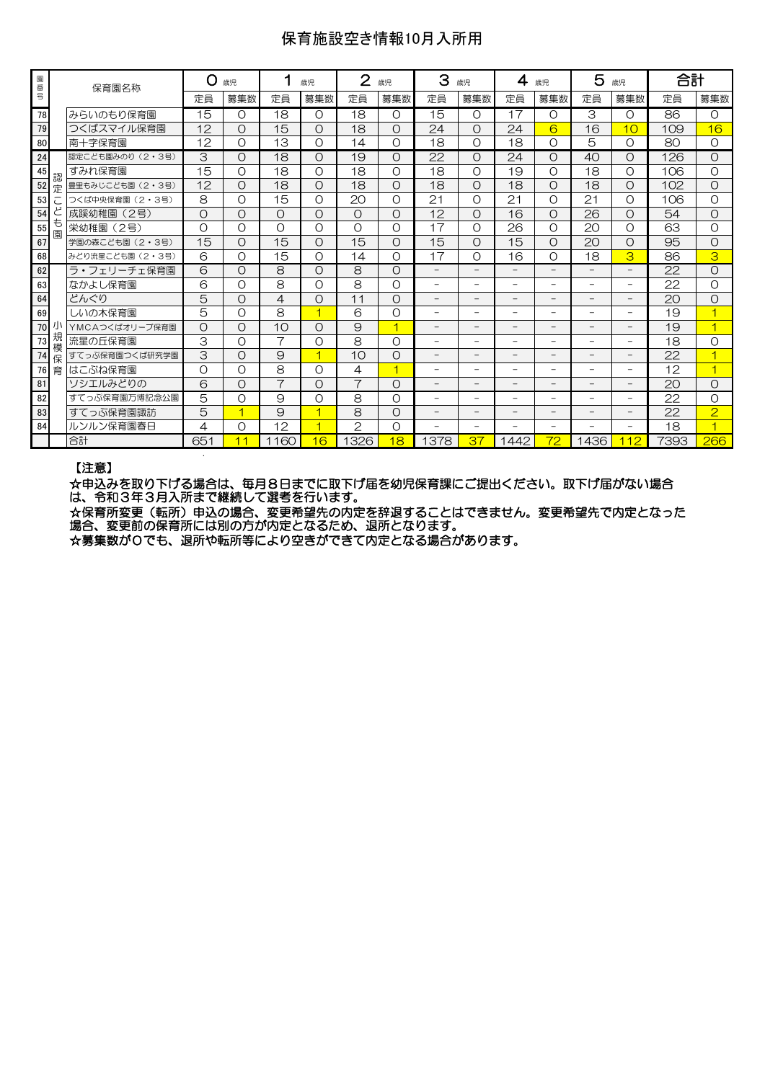## 保育施設空き情報10月入所用

| 園番号 |        | 保育園名称            | O        | 歳児       |                | 歳児                       | $\overline{2}$ | 歳児                      | З                        | 歳児                       | 4<br>歳児                  |                          | 5<br>歳児                  |                          | 合計   |                |
|-----|--------|------------------|----------|----------|----------------|--------------------------|----------------|-------------------------|--------------------------|--------------------------|--------------------------|--------------------------|--------------------------|--------------------------|------|----------------|
|     |        |                  | 定員       | 募集数      | 定員             | 募集数                      | 定員             | 募集数                     | 定員                       | 募集数                      | 定員                       | 募集数                      | 定員                       | 募集数                      | 定員   | 募集数            |
| 78  |        | みらいのもり保育園        | 15       | O        | 18             | $\Omega$                 | 18             | O                       | 15                       | $\Omega$                 | 17                       | $\Omega$                 | 3                        | O                        | 86   | $\Omega$       |
| 79  |        | つくばスマイル保育園       | 12       | $\circ$  | 15             | O                        | 18             | $\Omega$                | 24                       | $\Omega$                 | 24                       | 6                        | 16                       | 10                       | 109  | 16             |
| 80  |        | 南十字保育園           | 12       | O        | 13             | O                        | 14             | Ω                       | 18                       | $\Omega$                 | 18                       | $\Omega$                 | 5                        | O                        | 80   | $\Omega$       |
| 24  |        | 認定こども園みのり (2・3号) | 3        | $\circ$  | 18             | O                        | 19             | Ο                       | 22                       | O                        | 24                       | Ω                        | 40                       | O                        | 126  | $\Omega$       |
| 45  | 認      | すみれ保育園           | 15       | O        | 18             | $\Omega$                 | 18             | $\Omega$                | 18                       | $\Omega$                 | 19                       | $\Omega$                 | 18                       | O                        | 106  | $\Omega$       |
| 52  | 定      | 豊里もみじこども園 (2・3号) | 12       | O        | 18             | O                        | 18             | Ο                       | 18                       | O                        | 18                       | O                        | 18                       | $\circ$                  | 102  | O              |
| 53  |        | つくば中央保育園 (2・3号)  | 8        | O        | 15             | $\Omega$                 | 20             | $\Omega$                | 21                       | $\Omega$                 | 21                       | $\Omega$                 | 21                       | $\Omega$                 | 106  | $\Omega$       |
| 54  |        | 成蹊幼稚園<br>(2号)    | $\circ$  | $\circ$  | $\circ$        | $\Omega$                 | $\Omega$       | $\Omega$                | 12                       | $\Omega$                 | 16                       | $\Omega$                 | $\overline{26}$          | $\circ$                  | 54   | $\Omega$       |
| 55  | も<br>園 | 栄幼稚園<br>(2号)     | $\Omega$ | O        | $\Omega$       | $\Omega$                 | $\Omega$       | $\Omega$                | 17                       | $\Omega$                 | 26                       | $\Omega$                 | 20                       | $\Omega$                 | 63   | $\Omega$       |
| 67  |        | 学園の森こども園 (2·3号)  | 15       | $\circ$  | 15             | O                        | 15             | Ω                       | 15                       | $\Omega$                 | 15                       | O                        | 20                       | O                        | 95   | $\Omega$       |
| 68  |        | みどり流星こども園 (2・3号) | 6        | O        | 15             | O                        | 14             | $\Omega$                | 17                       | $\Omega$                 | 16                       | O                        | 18                       | 3                        | 86   | 3              |
| 62  |        | ラ・フェリーチェ保育園      | 6        | O        | 8              | O                        | 8              | O                       | $\overline{\phantom{0}}$ | $\overline{\phantom{0}}$ | $\overline{\phantom{0}}$ |                          | $\overline{\phantom{0}}$ | $\overline{\phantom{0}}$ | 22   | $\Omega$       |
| 63  |        | なかよし保育園          | 6        | O        | 8              | O                        | 8              | $\Omega$                | $\overline{\phantom{0}}$ | -                        | $\overline{\phantom{a}}$ | -                        | Ξ.                       | $\overline{\phantom{0}}$ | 22   | $\Omega$       |
| 64  |        | どんぐり             | 5        | $\circ$  | 4              | $\Omega$                 | 11             | $\Omega$                | $\overline{\phantom{0}}$ | $\overline{\phantom{0}}$ | $\overline{\phantom{0}}$ | -                        | -                        | $\overline{\phantom{0}}$ | 20   | $\Omega$       |
| 69  |        | しいの木保育園          | 5        | O        | 8              | $\overline{\mathbf{1}}$  | 6              | Ο                       | -                        | -                        | $\overline{\phantom{0}}$ | -                        | -                        | Ξ.                       | 19   |                |
| 70  |        | YMCAつくばオリーブ保育園   | $\circ$  | $\Omega$ | 10             | $\Omega$                 | $\Theta$       | $\overline{\mathbf{1}}$ | $\overline{\phantom{0}}$ | $\overline{\phantom{0}}$ | $\overline{\phantom{0}}$ |                          |                          | $\overline{\phantom{0}}$ | 19   | $\overline{1}$ |
| 73  | 規<br>模 | 流星の斤保育園          | 3        | O        | $\overline{7}$ | O                        | 8              | O                       | -                        | -                        | $\overline{\phantom{0}}$ | Ξ.                       | $\overline{\phantom{0}}$ | $\overline{\phantom{0}}$ | 18   | O              |
| 74  | 保      | すてっぷ保育園つくば研究学園   | 3        | $\circ$  | 9              | ⊣                        | 10             | Ο                       | -                        | -                        |                          | -                        |                          | $\overline{\phantom{a}}$ | 22   |                |
| 76  | 育      | はこぶね保育園          | $\circ$  | O        | 8              | O                        | 4              | $\overline{4}$          | -                        | $\overline{\phantom{0}}$ |                          |                          |                          | -                        | 12   |                |
| 81  |        | ソシエルみどりの         | 6        | O        | $\overline{7}$ | O                        | $\overline{7}$ | O                       | $\overline{\phantom{0}}$ | $\overline{\phantom{0}}$ | $\qquad \qquad -$        | -                        | -                        | $-$                      | 20   | $\Omega$       |
| 82  |        | すてっぷ保育園万博記念公園    | 5        | O        | 9              | O                        | 8              | Ο                       | $\overline{\phantom{0}}$ | $\overline{\phantom{0}}$ | ۰                        | $\overline{\phantom{0}}$ | $\overline{\phantom{0}}$ | $\equiv$                 | 22   | $\Omega$       |
| 83  |        | すてっぷ保育園諏訪        | 5        | и        | $\Theta$       | ⊣                        | 8              | $\Omega$                | -                        | -                        |                          |                          |                          | $\qquad \qquad -$        | 22   | $\overline{2}$ |
| 84  |        | ルンルン保育園春日        | 4        | O        | 12             | $\overline{\mathcal{A}}$ | $\mathcal{P}$  | $\Omega$                | $\overline{\phantom{0}}$ | $\overline{\phantom{0}}$ | ۰                        | $\overline{\phantom{0}}$ | $\overline{\phantom{0}}$ | $\overline{\phantom{0}}$ | 18   | 4              |
|     |        | 合計               | 651      | 11       | 60<br>11       | 16                       | 1326           | 18                      | 1378                     | 37                       | 1442                     | 72                       | 1436                     | 12                       | 7393 | 266            |
|     |        |                  |          |          |                |                          |                |                         |                          |                          |                          |                          |                          |                          |      |                |

#### 【注意】

☆申込みを取り下げる場合は、毎月8日までに取下げ届を幼児保育課にご提出ください。取下げ届がない場合 は、令和3年3月入所まで継続して選考を行います。

☆保育所変更(転所)申込の場合、変更希望先の内定を辞退することはできません。変更希望先で内定となった 場合、変更前の保育所には別の方が内定となるため、退所となります。

☆募集数が0でも、退所や転所等により空きができて内定となる場合があります。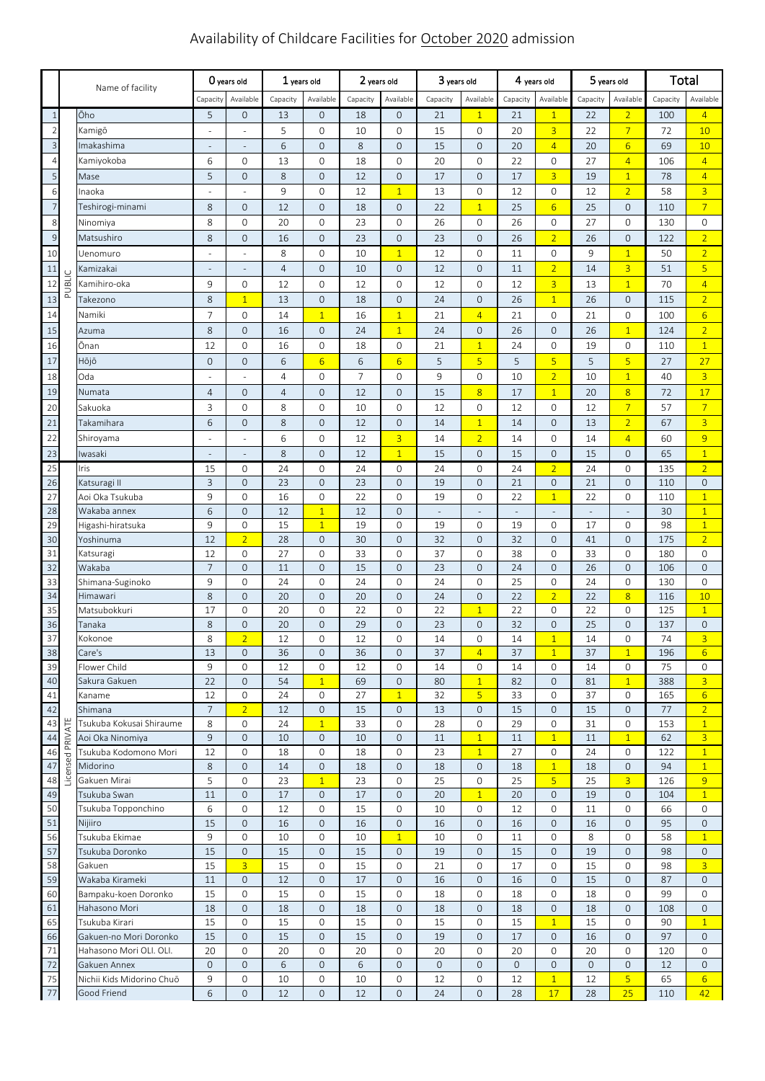# Availability of Childcare Facilities for October 2020 admission

|                | Name of facility |                                 | O years old         |                                            | $1$ years old  |                                | 2 years old    |                   | $3$ years old                  |                                | 4 years old         |                                  | 5 years old          |                               | Total     |                                   |
|----------------|------------------|---------------------------------|---------------------|--------------------------------------------|----------------|--------------------------------|----------------|-------------------|--------------------------------|--------------------------------|---------------------|----------------------------------|----------------------|-------------------------------|-----------|-----------------------------------|
|                |                  |                                 | Capacity            | Available                                  | Capacity       | Available                      | Capacity       | Available         | Capacity                       | Available                      | Capacity            | Available                        | Capacity             | Available                     | Capacity  | Available                         |
| $\mathbf{1}$   |                  | Ōho                             | 5                   | $\mathsf{O}\xspace$                        | 13             | 0                              | 18             | $\mathbf 0$       | 21                             | $\overline{1}$                 | 21                  | $\overline{1}$                   | 22                   | $\overline{2}$                | 100       | $\overline{4}$                    |
| $\overline{2}$ |                  | Kamigō                          |                     |                                            | 5              | $\mathbf{O}$                   | 10             | $\mathbf{0}$      | 15                             | 0                              | 20                  | $\overline{3}$                   | 22                   | $\overline{7}$                | 72        | 10                                |
| $\overline{3}$ |                  | Imakashima                      |                     |                                            | 6              | $\overline{0}$                 | 8              | $\mathbf{0}$      | 15                             | $\mathbf 0$                    | 20                  | $\overline{4}$                   | 20                   | $6 \overline{6}$              | 69        | 10                                |
| $\overline{4}$ |                  | Kamiyokoba                      | 6                   | $\mathsf{O}\xspace$                        | 13             | 0                              | 18             | 0                 | 20                             | 0                              | 22                  | $\mathbf 0$                      | 27                   | $\overline{4}$                | 106       | $\overline{4}$                    |
| 5              |                  | Mase                            | 5                   | $\mathsf{O}\xspace$                        | 8              | $\overline{0}$                 | 12             | $\mathbf 0$       | 17                             | $\mathsf{O}\xspace$            | 17                  | $\overline{3}$                   | 19                   | $\overline{1}$                | 78        | $\overline{4}$                    |
| 6              |                  | Inaoka                          |                     |                                            | 9              | 0                              | 12             | $\overline{1}$    | 13                             | 0                              | 12                  | $\mathbf 0$                      | 12                   | $\overline{2}$                | 58        | $\overline{3}$                    |
| $\overline{7}$ |                  | Teshirogi-minami                | 8                   | $\mathsf{O}\xspace$                        | 12             | $\overline{0}$                 | 18             | $\mathbf 0$       | 22                             | $\overline{1}$                 | 25                  | $6\overline{6}$                  | 25                   | $\mathbf 0$                   | 110       | $\overline{7}$                    |
| 8              |                  | Ninomiya                        | 8                   | $\mathsf{O}\xspace$                        | 20             | 0                              | 23             | 0                 | 26                             | 0                              | 26                  | $\mathbf 0$                      | 27                   | 0                             | 130       | $\mathsf{O}$                      |
| $\overline{9}$ |                  | Matsushiro                      | 8                   | $\mathsf{O}\xspace$                        | 16             | 0                              | 23             | $\mathbf 0$       | 23                             | $\mathsf{O}\xspace$            | 26                  | $\overline{2}$                   | 26                   | $\mathbf 0$                   | 122       | $\overline{2}$                    |
| 10             |                  | Uenomuro                        |                     |                                            | 8              | 0                              | 10             | $\overline{1}$    | 12                             | 0                              | 11                  | $\mathbf 0$                      | 9                    | $\overline{1}$                | 50        | $\overline{2}$                    |
| 11             |                  | Kamizakai                       |                     |                                            | $\overline{4}$ | $\overline{0}$                 | 10             | $\mathbf 0$       | 12                             | $\mathsf{O}\xspace$            | 11                  | $\overline{2}$                   | 14                   | $\overline{3}$                | 51        | $\overline{5}$                    |
| 12             | PUBLIC           | Kamihiro-oka                    | 9                   | $\mathsf{O}\xspace$                        | 12             | 0                              | 12             | 0                 | 12                             | 0                              | 12                  | $\overline{3}$                   | 13                   | $\overline{1}$                | 70        | $\overline{4}$                    |
| 13             |                  | Takezono                        | 8                   | $\overline{1}$                             | 13             | 0                              | 18             | $\mathbf 0$       | 24                             | $\mathsf{O}\xspace$            | 26                  | $\overline{1}$                   | 26                   | $\mathbf 0$                   | 115       | $\overline{2}$                    |
| 14             |                  | Namiki                          | $\overline{7}$      | $\mathsf{O}\xspace$                        | 14             | $\overline{1}$                 | 16             | $\overline{1}$    | 21                             | $\overline{4}$                 | 21                  | $\mathsf O$                      | 21                   | 0                             | 100       | $6 \overline{}$                   |
| 15             |                  | Azuma                           | 8                   | $\mathsf{O}\xspace$                        | 16             | 0                              | 24             | $\overline{1}$    | 24                             | $\mathsf{O}\xspace$            | 26                  | $\mathbf 0$                      | 26                   | $\overline{1}$                | 124       | $\overline{2}$                    |
| 16             |                  | Ōnan                            | 12                  | $\mathsf{O}\xspace$                        | 16             | 0                              | 18             | 0                 | 21                             | $\overline{1}$                 | 24                  | $\mathbf 0$                      | 19                   | 0                             | 110       | $\overline{1}$                    |
| 17             |                  | Hōjō                            | $\mathsf{O}\xspace$ | $\mathsf{O}\xspace$                        | 6              | $6 \overline{6}$               | 6              | $6 \overline{6}$  | 5                              | $\overline{5}$                 | 5                   | $\overline{\mathbf{5}}$          | 5                    | $\overline{5}$                | 27        | 27                                |
| 18             |                  | Oda                             |                     |                                            | $\overline{4}$ | 0                              | $\overline{7}$ | 0                 | 9                              | 0                              | 10                  | $\overline{2}$                   | 10                   | $\overline{1}$                | 40        | $\overline{3}$                    |
| 19             |                  | Numata                          | $\overline{4}$      | $\mathsf{O}\xspace$                        | $\overline{4}$ | $\overline{0}$                 | 12             | $\mathbf{O}$      | 15                             | $\overline{8}$                 | 17                  | $\overline{1}$                   | 20                   | $\overline{8}$                | 72        | 17                                |
| 20             |                  | Sakuoka                         | 3                   | $\mathsf{O}\xspace$                        | 8              | 0                              | 10             | 0                 | 12                             | 0                              | 12                  | $\mathsf O$                      | 12                   | $\overline{7}$                | 57        | $\overline{7}$                    |
| 21             |                  | Takamihara                      | 6                   | $\mathsf{O}\xspace$                        | 8              | 0                              | 12             | $\mathbf{O}$      | 14                             | $\overline{1}$                 | 14                  | $\mathbf 0$                      | 13                   | $\overline{2}$                | 67        | $\overline{3}$                    |
| 22             |                  | Shiroyama                       |                     | L,                                         | 6              | 0                              | 12             | $\overline{3}$    | 14                             | $\overline{2}$                 | 14                  | $\mathsf O$                      | 14                   | $\overline{4}$                | 60        | $\overline{9}$                    |
| 23             |                  | Iwasaki                         |                     |                                            | 8              | $\mathsf{O}\xspace$            | 12             | $\overline{1}$    | 15                             | $\mathsf{O}\xspace$            | 15                  | $\mathbf 0$                      | 15                   | $\mathbf 0$                   | 65        | $\overline{1}$                    |
| 25             |                  | Iris                            | 15                  | 0                                          | 24             | 0                              | 24             | 0                 | 24                             | 0                              | 24                  | $\overline{2}$                   | 24                   | 0                             | 135       | $\overline{2}$                    |
| 26             |                  | Katsuragi II                    | 3                   | $\overline{0}$                             | 23<br>16       | $\overline{0}$                 | 23             | $\mathbf{0}$      | 19                             | 0                              | 21                  | $\mathbf 0$                      | 21                   | $\mathbf 0$                   | 110       | $\mathbf 0$                       |
| 27<br>28       |                  | Aoi Oka Tsukuba<br>Wakaba annex | 9<br>6              | $\mathbf 0$<br>$\mathbf 0$                 | 12             | $\mathsf{O}$<br>$\overline{1}$ | 22<br>12       | 0<br>$\mathbf{0}$ | 19<br>$\overline{\phantom{a}}$ | 0<br>$\overline{\phantom{a}}$  | 22<br>$\Box$        | $\overline{1}$<br>$\Box$         | 22<br>$\blacksquare$ | 0<br>$\Box$                   | 110<br>30 | $\overline{1}$<br>$\overline{1}$  |
| 29             |                  | Higashi-hiratsuka               | 9                   | $\mathbf 0$                                | 15             | $\mathbf{1}$                   | 19             | $\mathbf{0}$      | 19                             | 0                              | 19                  | 0                                | 17                   | 0                             | 98        | $\mathbf{1}$                      |
| 30             |                  | Yoshinuma                       | 12                  | $\overline{2}$                             | 28             | 0                              | 30             | $\mathbf 0$       | 32                             | $\mathsf{O}\xspace$            | 32                  | $\mathbf 0$                      | 41                   | $\mathbf{O}$                  | 175       | $\overline{2}$                    |
| 31             |                  | Katsuragi                       | 12                  | $\mathsf{O}\xspace$                        | 27             | 0                              | 33             | $\mathbf{0}$      | 37                             | $\mathsf{O}\xspace$            | 38                  | $\mathbf 0$                      | 33                   | 0                             | 180       | $\mathbf{O}$                      |
| 32             |                  | Wakaba                          | $\overline{7}$      | $\mathbf 0$                                | 11             | $\overline{0}$                 | 15             | $\mathbf{O}$      | 23                             | $\mathbf 0$                    | 24                  | $\mathbf 0$                      | 26                   | $\mathsf{O}\xspace$           | 106       | $\mathsf{O}\xspace$               |
| 33             |                  | Shimana-Suginoko                | 9                   | $\mathbf 0$                                | 24             | 0                              | 24             | 0                 | 24                             | 0                              | 25                  | $\mathbf 0$                      | 24                   | 0                             | 130       | $\mathbf{O}$                      |
| 34             |                  | Himawari                        | 8                   | $\mathbf 0$                                | 20             | 0                              | 20             | $\mathbf 0$       | 24                             | 0                              | 22                  | $\overline{2}$                   | 22                   | $\overline{8}$                | 116       | 10                                |
| 35             |                  | Matsubokkuri                    | 17                  | $\mathbf 0$                                | 20             | 0                              | 22             | $\mathbf{O}$      | 22                             | $\overline{1}$                 | 22                  | $\mathbf 0$                      | 22                   | 0                             | 125       | $\overline{1}$                    |
| 36<br>37       |                  | Tanaka                          | 8                   | $\mathbf 0$                                | 20             | $\mathsf{O}\xspace$            | 29             | $\mathbf{O}$      | 23                             | $\mathbf 0$                    | 32                  | $\mathbf 0$                      | $\overline{25}$      | $\mathsf{O}\xspace$           | 137       | $\mathsf{O}\xspace$               |
| 38             |                  | Kokonoe<br>Care's               | 8<br>13             | $\overline{2}$<br>$\mathbf 0$              | 12<br>36       | $\mathbf{0}$<br>0              | 12<br>36       | 0<br>0            | 14<br>37                       | $\mathbf{O}$<br>$\overline{4}$ | 14<br>37            | $\overline{1}$<br>$\mathbf{1}$   | 14<br>37             | 0<br>$\mathbf{1}$             | 74<br>196 | $\overline{3}$<br>$6\overline{6}$ |
| 39             |                  | Flower Child                    | 9                   | $\mathbf{0}$                               | 12             | 0                              | 12             | 0                 | 14                             | 0                              | 14                  | $\mathbf{0}$                     | 14                   | 0                             | 75        | 0                                 |
| 40             |                  | Sakura Gakuen                   | 22                  | $\mathbf 0$                                | 54             | $\mathbf{1}$                   | 69             | $\mathbf 0$       | 80                             | $\mathbf{1}$                   | 82                  | $\mathbf 0$                      | 81                   | $\mathbf{1}$                  | 388       | $\overline{3}$                    |
| 41             |                  | Kaname                          | 12                  | $\mathsf{O}\xspace$                        | 24             | 0                              | 27             | $\mathbf{1}$      | 32                             | 5 <sup>1</sup>                 | 33                  | 0                                | 37                   | 0                             | 165       | $6 \overline{6}$                  |
| 42             |                  | Shimana                         | $\overline{7}$      | $\overline{2}$                             | 12             | $\mathbf{0}$                   | 15             | $\mathbf 0$       | 13                             | $\mathsf{O}\xspace$            | 15                  | $\mathbf 0$                      | 15                   | $\mathbf 0$                   | 77        | $\overline{2}$                    |
| 43             |                  | Tsukuba Kokusai Shiraume        | 8                   | $\mathsf{O}\xspace$                        | 24             | $\overline{1}$                 | 33             | 0                 | 28                             | 0                              | 29                  | $\mathbf 0$                      | 31                   | 0                             | 153       | $\mathbf{1}$                      |
| 44             |                  | Aoi Oka Ninomiya                | 9                   | $\overline{0}$                             | 10             | $\overline{0}$                 | 10             | $\overline{0}$    | 11                             | $\overline{1}$                 | 11                  | $\mathbf{1}$                     | 11                   | $\overline{1}$                | 62        | $\overline{3}$                    |
| 46             | Licensed PRIVATE | Tsukuba Kodomono Mori           | 12                  | $\mathbf 0$                                | 18             | 0                              | 18             | 0                 | 23                             | $\overline{1}$                 | 27                  | $\mathbf 0$                      | 24                   | 0                             | 122       | $\mathbf{1}$                      |
| 47<br>48       |                  | Midorino<br>Gakuen Mirai        | 8<br>5              | $\mathsf{O}\xspace$<br>$\mathsf{O}\xspace$ | 14<br>23       | 0<br>$\overline{1}$            | 18<br>23       | $\mathbf 0$<br>0  | 18<br>25                       | $\mathsf{O}\xspace$<br>0       | 18<br>25            | $\overline{1}$<br>5 <sup>1</sup> | 18<br>25             | $\mathbf 0$<br>$\overline{3}$ | 94<br>126 | $\overline{1}$<br>9               |
| 49             |                  | Tsukuba Swan                    | 11                  | $\mathbf{O}$                               | 17             | 0                              | 17             | $\mathbf 0$       | 20                             | 1                              | 20                  | $\mathbf 0$                      | 19                   | 0                             | 104       | $\mathbf{1}$                      |
| 50             |                  | Tsukuba Topponchino             | 6                   | $\mathsf{O}\xspace$                        | 12             | $\mathsf{O}$                   | 15             | 0                 | 10                             | 0                              | 12                  | $\mathsf O$                      | 11                   | 0                             | 66        | 0                                 |
| 51             |                  | Nijiiro                         | 15                  | $\mathbf{0}$                               | 16             | $\overline{O}$                 | 16             | $\mathbf{0}$      | 16                             | $\mathsf{O}\xspace$            | 16                  | $\mathbf 0$                      | 16                   | 0                             | 95        | $\mathbf{0}$                      |
| 56             |                  | Tsukuba Ekimae                  | 9                   | $\mathbf{0}$                               | 10             | 0                              | 10             | $\mathbf{1}$      | 10                             | 0                              | 11                  | 0                                | 8                    | 0                             | 58        | $\mathbf{1}$                      |
| 57             |                  | Tsukuba Doronko                 | 15                  | $\mathsf{O}\xspace$                        | 15             | 0                              | 15             | $\mathbf 0$       | 19                             | $\mathsf{O}\xspace$            | 15                  | $\mathbf 0$                      | 19                   | 0                             | 98        | $\mathbf 0$                       |
| 58             |                  | Gakuen                          | 15                  | $\overline{3}$                             | 15             | 0                              | 15             | 0                 | 21                             | 0                              | 17                  | 0                                | 15                   | 0                             | 98        | $\overline{3}$                    |
| 59             |                  | Wakaba Kirameki                 | 11                  | $\mathbf{O}$                               | 12             | $\overline{0}$                 | 17             | $\mathbf{0}$      | 16                             | $\mathsf{O}\xspace$            | 16                  | $\mathsf O$                      | 15                   | 0                             | 87        | $\mathbf{0}$                      |
| 60             |                  | Bampaku-koen Doronko            | 15                  | 0                                          | 15             | 0                              | 15             | 0                 | 18                             | 0                              | 18                  | 0                                | 18                   | 0                             | 99        | 0                                 |
| 61<br>65       |                  | Hahasono Mori<br>Tsukuba Kirari | 18<br>15            | $\mathbf{0}$<br>$\mathbf 0$                | 18<br>15       | 0<br>0                         | 18<br>15       | 0<br>$\mathbf{0}$ | 18<br>15                       | 0<br>0                         | 18<br>15            | $\mathbf 0$<br>$\mathbf{1}$      | 18<br>15             | 0<br>0                        | 108<br>90 | $\mathbf 0$<br>$\mathbf{1}$       |
| 66             |                  | Gakuen-no Mori Doronko          | 15                  | $\mathsf{O}\xspace$                        | 15             | 0                              | 15             | $\mathbf 0$       | 19                             | 0                              | 17                  | $\mathbf 0$                      | 16                   | 0                             | 97        | $\mathbf 0$                       |
| 71             |                  | Hahasono Mori OLI. OLI.         | 20                  | $\mathbf{0}$                               | 20             | 0                              | 20             | 0                 | 20                             | 0                              | 20                  | 0                                | 20                   | 0                             | 120       | $\mathbf{0}$                      |
| 72             |                  | Gakuen Annex                    | $\overline{0}$      | $\overline{0}$                             | 6              | 0                              | 6              | $\mathbf{0}$      | $\mathsf{O}\xspace$            | $\mathsf{O}\xspace$            | $\mathsf{O}\xspace$ | $\mathbf 0$                      | $\mathbf 0$          | 0                             | 12        | $\mathbf 0$                       |
| 75             |                  | Nichii Kids Midorino Chuō       | 9                   | 0                                          | 10             | 0                              | 10             | 0                 | 12                             | 0                              | 12                  | $\mathbf{1}$                     | 12                   | 5                             | 65        | $6 \overline{6}$                  |
| 77             |                  | Good Friend                     | 6                   | $\mathbf 0$                                | 12             | 0                              | 12             | $\mathbf 0$       | 24                             | $\mathsf{O}\xspace$            | 28                  | 17                               | 28                   | 25                            | 110       | 42                                |